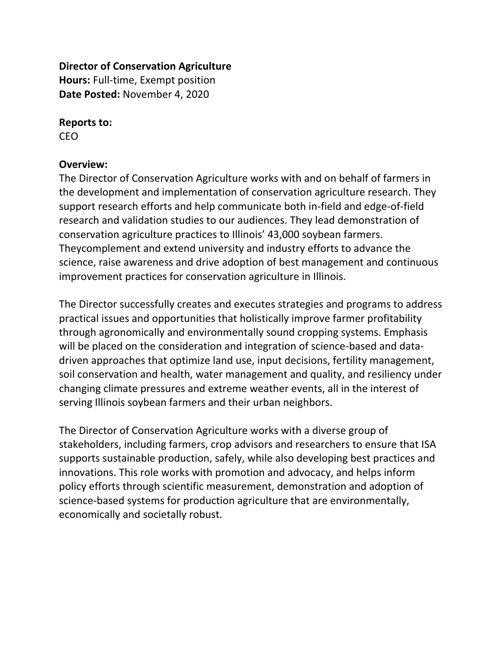### **Director of Conservation Agriculture**

**Hours:** Full-time, Exempt position **Date Posted:** November 4, 2020

### **Reports to:**

CEO

### **Overview:**

The Director of Conservation Agriculture works with and on behalf of farmers in the development and implementation of conservation agriculture research. They support research efforts and help communicate both in-field and edge-of-field research and validation studies to our audiences. They lead demonstration of conservation agriculture practices to Illinois' 43,000 soybean farmers. Theycomplement and extend university and industry efforts to advance the science, raise awareness and drive adoption of best management and continuous improvement practices for conservation agriculture in Illinois.

The Director successfully creates and executes strategies and programs to address practical issues and opportunities that holistically improve farmer profitability through agronomically and environmentally sound cropping systems. Emphasis will be placed on the consideration and integration of science-based and datadriven approaches that optimize land use, input decisions, fertility management, soil conservation and health, water management and quality, and resiliency under changing climate pressures and extreme weather events, all in the interest of serving Illinois soybean farmers and their urban neighbors.

The Director of Conservation Agriculture works with a diverse group of stakeholders, including farmers, crop advisors and researchers to ensure that ISA supports sustainable production, safely, while also developing best practices and innovations. This role works with promotion and advocacy, and helps inform policy efforts through scientific measurement, demonstration and adoption of science-based systems for production agriculture that are environmentally, economically and societally robust.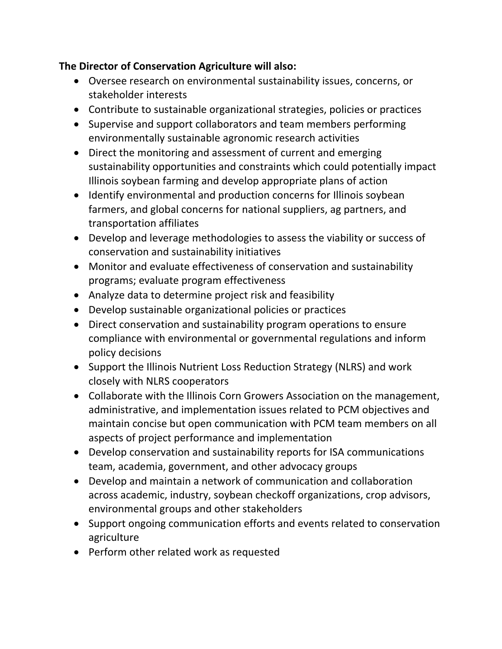### **The Director of Conservation Agriculture will also:**

- Oversee research on environmental sustainability issues, concerns, or stakeholder interests
- Contribute to sustainable organizational strategies, policies or practices
- Supervise and support collaborators and team members performing environmentally sustainable agronomic research activities
- Direct the monitoring and assessment of current and emerging sustainability opportunities and constraints which could potentially impact Illinois soybean farming and develop appropriate plans of action
- Identify environmental and production concerns for Illinois soybean farmers, and global concerns for national suppliers, ag partners, and transportation affiliates
- Develop and leverage methodologies to assess the viability or success of conservation and sustainability initiatives
- Monitor and evaluate effectiveness of conservation and sustainability programs; evaluate program effectiveness
- Analyze data to determine project risk and feasibility
- Develop sustainable organizational policies or practices
- Direct conservation and sustainability program operations to ensure compliance with environmental or governmental regulations and inform policy decisions
- Support the Illinois Nutrient Loss Reduction Strategy (NLRS) and work closely with NLRS cooperators
- Collaborate with the Illinois Corn Growers Association on the management, administrative, and implementation issues related to PCM objectives and maintain concise but open communication with PCM team members on all aspects of project performance and implementation
- Develop conservation and sustainability reports for ISA communications team, academia, government, and other advocacy groups
- Develop and maintain a network of communication and collaboration across academic, industry, soybean checkoff organizations, crop advisors, environmental groups and other stakeholders
- Support ongoing communication efforts and events related to conservation agriculture
- Perform other related work as requested